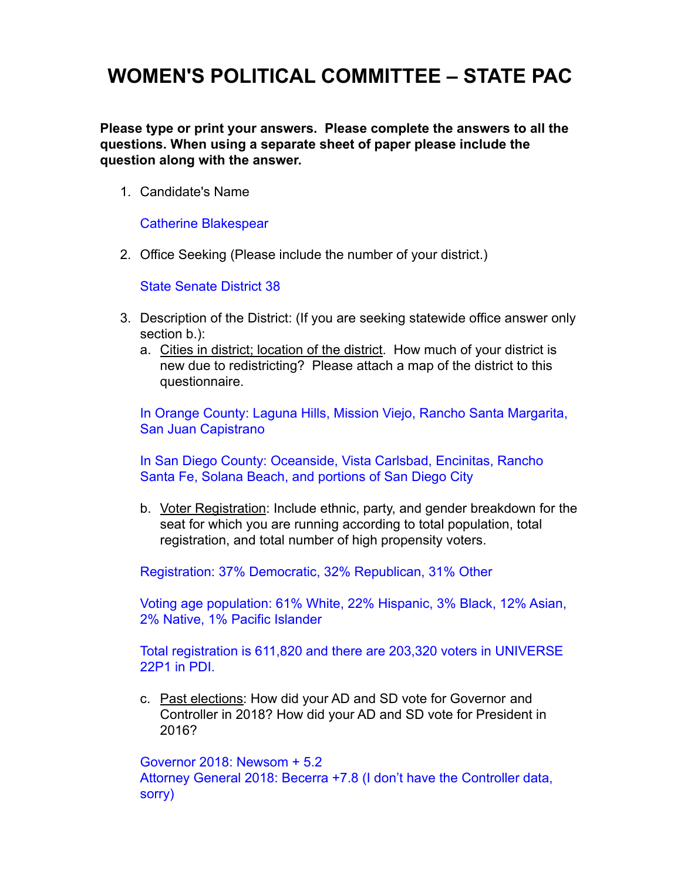# **WOMEN'S POLITICAL COMMITTEE – STATE PAC**

**Please type or print your answers. Please complete the answers to all the questions. When using a separate sheet of paper please include the question along with the answer.**

1. Candidate's Name

Catherine Blakespear

2. Office Seeking (Please include the number of your district.)

State Senate District 38

- 3. Description of the District: (If you are seeking statewide office answer only section b.):
	- a. Cities in district; location of the district. How much of your district is new due to redistricting? Please attach a map of the district to this questionnaire.

In Orange County: Laguna Hills, Mission Viejo, Rancho Santa Margarita, San Juan Capistrano

In San Diego County: Oceanside, Vista Carlsbad, Encinitas, Rancho Santa Fe, Solana Beach, and portions of San Diego City

b. Voter Registration: Include ethnic, party, and gender breakdown for the seat for which you are running according to total population, total registration, and total number of high propensity voters.

Registration: 37% Democratic, 32% Republican, 31% Other

Voting age population: 61% White, 22% Hispanic, 3% Black, 12% Asian, 2% Native, 1% Pacific Islander

Total registration is 611,820 and there are 203,320 voters in UNIVERSE 22P1 in PDI.

c. Past elections: How did your AD and SD vote for Governor and Controller in 2018? How did your AD and SD vote for President in 2016?

Governor 2018: Newsom + 5.2

Attorney General 2018: Becerra +7.8 (I don't have the Controller data, sorry)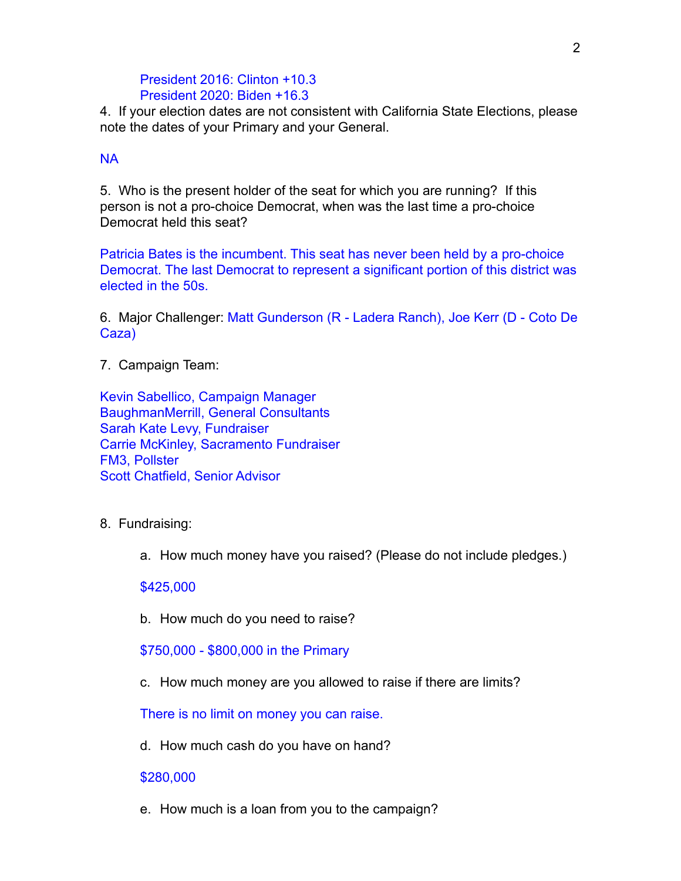## President 2016: Clinton +10.3 President 2020: Biden +16.3

4. If your election dates are not consistent with California State Elections, please note the dates of your Primary and your General.

## NA

5. Who is the present holder of the seat for which you are running? If this person is not a pro-choice Democrat, when was the last time a pro-choice Democrat held this seat?

Patricia Bates is the incumbent. This seat has never been held by a pro-choice Democrat. The last Democrat to represent a significant portion of this district was elected in the 50s.

6. Major Challenger: Matt Gunderson (R - Ladera Ranch), Joe Kerr (D - Coto De Caza)

7. Campaign Team:

Kevin Sabellico, Campaign Manager BaughmanMerrill, General Consultants Sarah Kate Levy, Fundraiser Carrie McKinley, Sacramento Fundraiser FM3, Pollster Scott Chatfield, Senior Advisor

- 8. Fundraising:
	- a. How much money have you raised? (Please do not include pledges.)

### \$425,000

b. How much do you need to raise?

\$750,000 - \$800,000 in the Primary

c. How much money are you allowed to raise if there are limits?

There is no limit on money you can raise.

d. How much cash do you have on hand?

### \$280,000

e. How much is a loan from you to the campaign?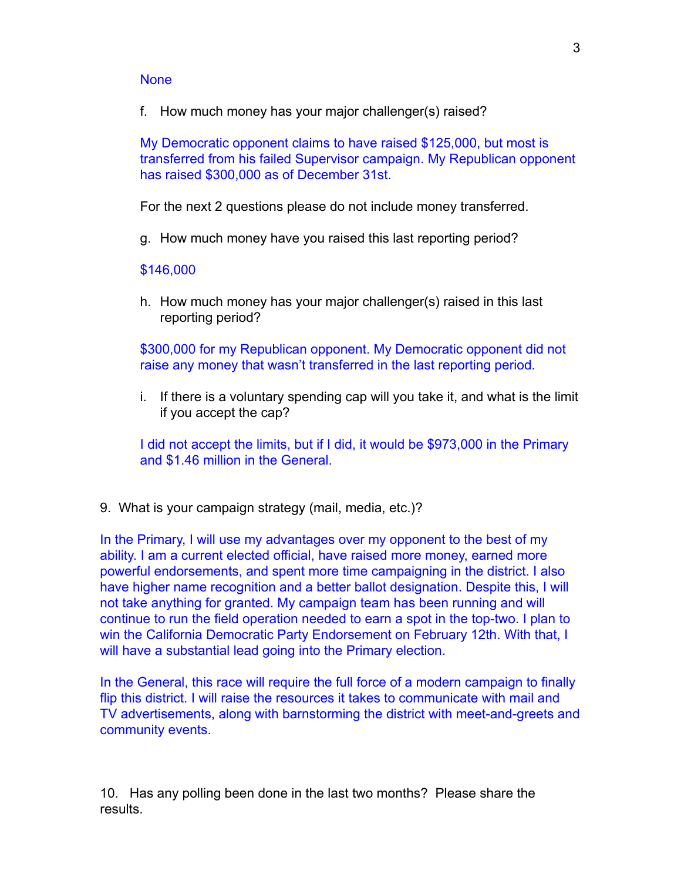#### **None**

f. How much money has your major challenger(s) raised?

My Democratic opponent claims to have raised \$125,000, but most is transferred from his failed Supervisor campaign. My Republican opponent has raised \$300,000 as of December 31st.

For the next 2 questions please do not include money transferred.

g. How much money have you raised this last reporting period?

#### \$146,000

h. How much money has your major challenger(s) raised in this last reporting period?

\$300,000 for my Republican opponent. My Democratic opponent did not raise any money that wasn't transferred in the last reporting period.

i. If there is a voluntary spending cap will you take it, and what is the limit if you accept the cap?

I did not accept the limits, but if I did, it would be \$973,000 in the Primary and \$1.46 million in the General.

9. What is your campaign strategy (mail, media, etc.)?

In the Primary, I will use my advantages over my opponent to the best of my ability. I am a current elected official, have raised more money, earned more powerful endorsements, and spent more time campaigning in the district. I also have higher name recognition and a better ballot designation. Despite this, I will not take anything for granted. My campaign team has been running and will continue to run the field operation needed to earn a spot in the top-two. I plan to win the California Democratic Party Endorsement on February 12th. With that, I will have a substantial lead going into the Primary election.

In the General, this race will require the full force of a modern campaign to finally flip this district. I will raise the resources it takes to communicate with mail and TV advertisements, along with barnstorming the district with meet-and-greets and community events.

10. Has any polling been done in the last two months? Please share the results.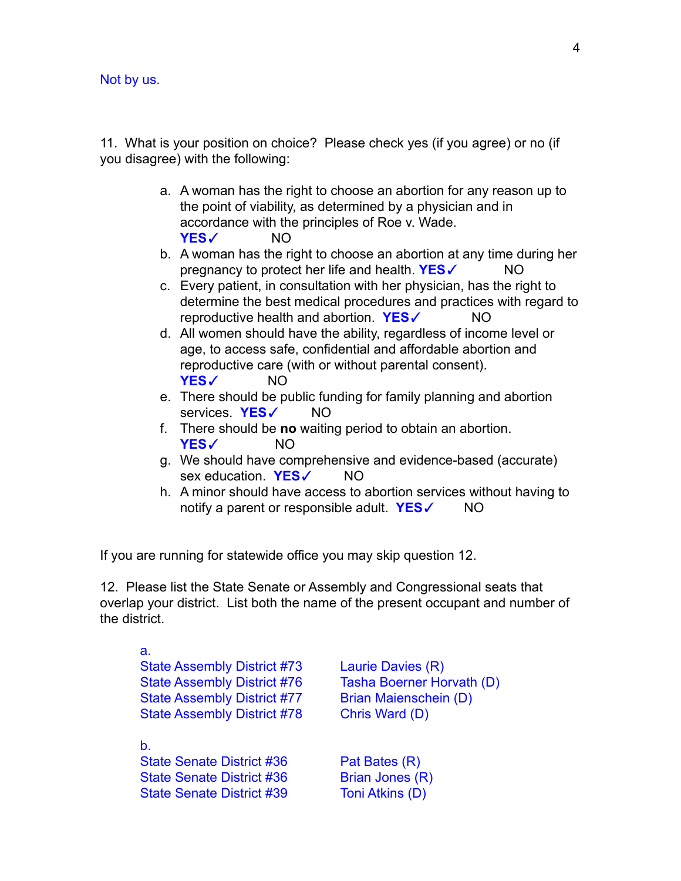Not by us.

11. What is your position on choice? Please check yes (if you agree) or no (if you disagree) with the following:

- a. A woman has the right to choose an abortion for any reason up to the point of viability, as determined by a physician and in accordance with the principles of Roe v. Wade. **YES**✓ NO
- b. A woman has the right to choose an abortion at any time during her pregnancy to protect her life and health. **YES**✓ NO
- c. Every patient, in consultation with her physician, has the right to determine the best medical procedures and practices with regard to reproductive health and abortion. **YES**✓ NO
- d. All women should have the ability, regardless of income level or age, to access safe, confidential and affordable abortion and reproductive care (with or without parental consent). **YES**✓ NO
- e. There should be public funding for family planning and abortion services. **YES**✓ NO
- f. There should be **no** waiting period to obtain an abortion. **YES**✓ NO
- g. We should have comprehensive and evidence-based (accurate) sex education. **YES**✓ NO
- h. A minor should have access to abortion services without having to notify a parent or responsible adult. **YES**✓ NO

If you are running for statewide office you may skip question 12.

12. Please list the State Senate or Assembly and Congressional seats that overlap your district. List both the name of the present occupant and number of the district.

| а.<br><b>State Assembly District #73</b><br><b>State Assembly District #76</b><br><b>State Assembly District #77</b><br><b>State Assembly District #78</b> | Laurie Davies (R)<br>Tasha Boerner Horvath (D)<br>Brian Maienschein (D)<br>Chris Ward (D) |
|------------------------------------------------------------------------------------------------------------------------------------------------------------|-------------------------------------------------------------------------------------------|
| b.<br><b>State Senate District #36</b><br><b>State Senate District #36</b><br><b>State Senate District #39</b>                                             | Pat Bates (R)<br>Brian Jones (R)<br>Toni Atkins (D)                                       |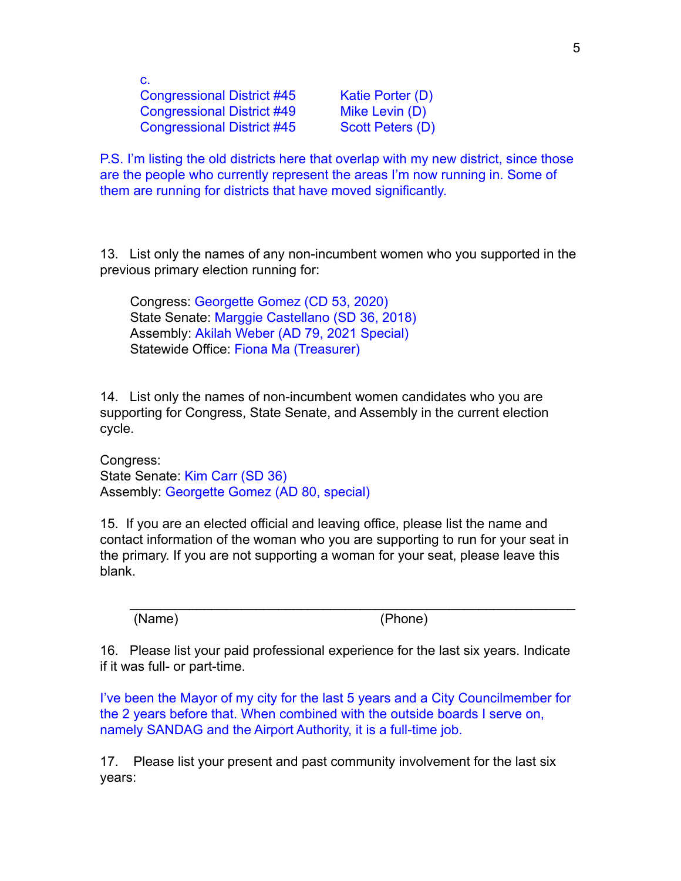c. Congressional District #45 Katie Porter (D) Congressional District #49 Mike Levin (D) Congressional District #45 Scott Peters (D)

P.S. I'm listing the old districts here that overlap with my new district, since those are the people who currently represent the areas I'm now running in. Some of them are running for districts that have moved significantly.

13. List only the names of any non-incumbent women who you supported in the previous primary election running for:

Congress: Georgette Gomez (CD 53, 2020) State Senate: Marggie Castellano (SD 36, 2018) Assembly: Akilah Weber (AD 79, 2021 Special) Statewide Office: Fiona Ma (Treasurer)

14. List only the names of non-incumbent women candidates who you are supporting for Congress, State Senate, and Assembly in the current election cycle.

Congress: State Senate: Kim Carr (SD 36) Assembly: Georgette Gomez (AD 80, special)

15. If you are an elected official and leaving office, please list the name and contact information of the woman who you are supporting to run for your seat in the primary. If you are not supporting a woman for your seat, please leave this blank.

(Name) (Phone)

16. Please list your paid professional experience for the last six years. Indicate if it was full- or part-time.

 $\mathcal{L}_\text{max} = \mathcal{L}_\text{max} = \mathcal{L}_\text{max} = \mathcal{L}_\text{max} = \mathcal{L}_\text{max} = \mathcal{L}_\text{max} = \mathcal{L}_\text{max} = \mathcal{L}_\text{max} = \mathcal{L}_\text{max} = \mathcal{L}_\text{max} = \mathcal{L}_\text{max} = \mathcal{L}_\text{max} = \mathcal{L}_\text{max} = \mathcal{L}_\text{max} = \mathcal{L}_\text{max} = \mathcal{L}_\text{max} = \mathcal{L}_\text{max} = \mathcal{L}_\text{max} = \mathcal{$ 

I've been the Mayor of my city for the last 5 years and a City Councilmember for the 2 years before that. When combined with the outside boards I serve on, namely SANDAG and the Airport Authority, it is a full-time job.

17. Please list your present and past community involvement for the last six years: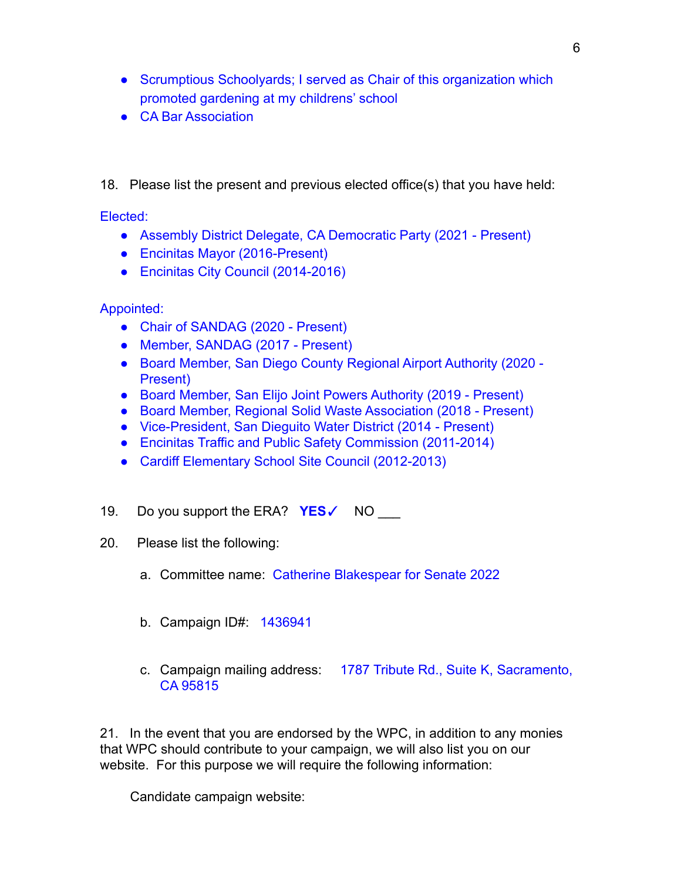- Scrumptious Schoolyards; I served as Chair of this organization which promoted gardening at my childrens' school
- CA Bar Association

18. Please list the present and previous elected office(s) that you have held:

Elected:

- Assembly District Delegate, CA Democratic Party (2021 Present)
- Encinitas Mayor (2016-Present)
- Encinitas City Council (2014-2016)

# Appointed:

- Chair of SANDAG (2020 Present)
- Member, SANDAG (2017 Present)
- Board Member, San Diego County Regional Airport Authority (2020 Present)
- Board Member, San Elijo Joint Powers Authority (2019 Present)
- Board Member, Regional Solid Waste Association (2018 Present)
- Vice-President, San Dieguito Water District (2014 Present)
- Encinitas Traffic and Public Safety Commission (2011-2014)
- Cardiff Elementary School Site Council (2012-2013)
- 19. Do you support the ERA? **YES**✓ NO \_\_\_
- 20. Please list the following:
	- a. Committee name: Catherine Blakespear for Senate 2022
	- b. Campaign ID#: 1436941
	- c. Campaign mailing address: 1787 Tribute Rd., Suite K, Sacramento, CA 95815

21. In the event that you are endorsed by the WPC, in addition to any monies that WPC should contribute to your campaign, we will also list you on our website. For this purpose we will require the following information:

Candidate campaign website: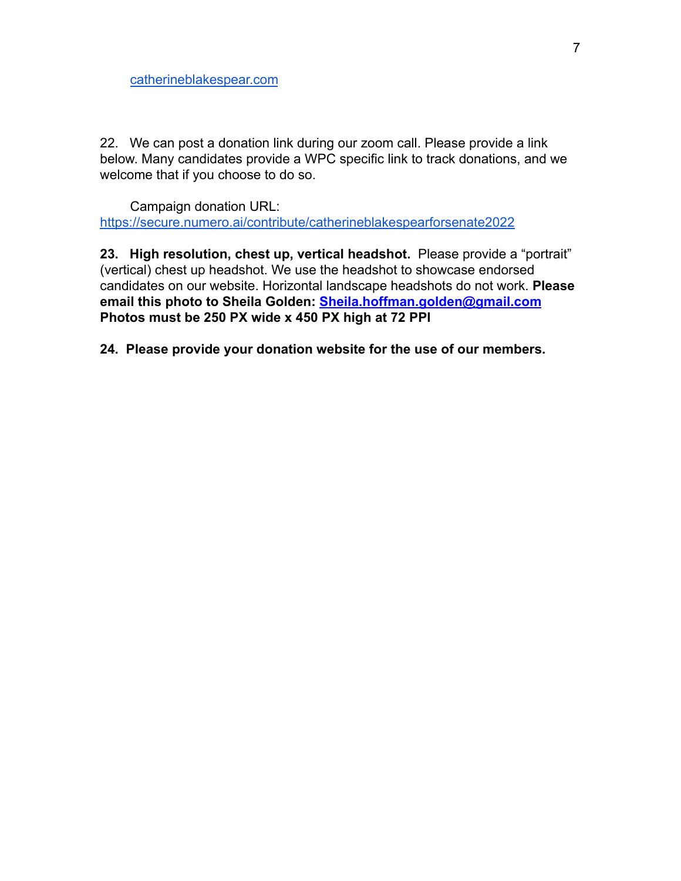22. We can post a donation link during our zoom call. Please provide a link below. Many candidates provide a WPC specific link to track donations, and we welcome that if you choose to do so.

Campaign donation URL: <https://secure.numero.ai/contribute/catherineblakespearforsenate2022>

**23. High resolution, chest up, vertical headshot.** Please provide a "portrait" (vertical) chest up headshot. We use the headshot to showcase endorsed candidates on our website. Horizontal landscape headshots do not work. **Please email this photo to Sheila Golden: [Sheila.hoffman.golden@gmail.com](mailto:Sheila.hoffman.golden@gmail.com) Photos must be 250 PX wide x 450 PX high at 72 PPI**

**24. Please provide your donation website for the use of our members.**